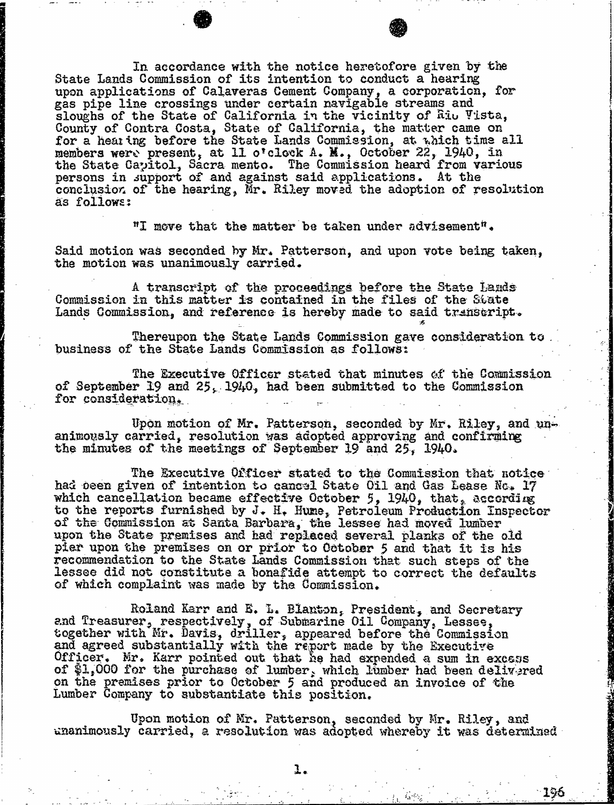In accordance with the notice heretofore given by the State Lands Commission of its intention to conduct a hearing upon applications of Calaveras Cement Company, a corporation, including the corporation,  $f(x)$ gas pipe line crossings under certain navigable<br>stamps at the State of California in the rigini sloughs of the State of California in the vicinity of Riu Vista, County of Contra Costa, State of California, the matter for a hearing before the State Lands Commission, at which members were present, at 11 o'clock A. M., October 22, 1940, in the State Capitol, Sacra mento. The Commission heard from various persons in support of and against said applications. At the conclusion of the hearing, Mr. Riley moved the adoption of resolution as follows:

"I move that the matter be taken under advisement".

Said motion was seconded by Mr. Patterson, and upon vote being taken, the motion was unanimously carried.

A transcript of the proceedings before the State Lands Commission in this matter is contained in the files of the State Lands Commission, and reference is hereby made to said transcript.

Thereupon the State Lands Commission gave consideration to business of the State Lands Commission as follows:

The Executive Officer stated that minutes of the Commission of September 19 and 25, 1940, had been submitted to the Commission for consideration,

Upon motion of Mr. Patterson, seconded by Mr. Riley, and un- animously carried, resolution was adopted approving and confirming the minutes of the meetings of September 19 and 25, 1940.

The Executive Officer stated to the Commission that notice had been given of intention to cancel State Oil and Gas Lease No. 17 which cancellation became effective October 5, 1940, that, according to the reports furnished by  $J - H_+$  Hume, Petroleum Production of the Commission at Santa Barbara, the lessee had mov upon the State premises and had replaced several planks of the old pier upon the premises on or prior to October 5 and that it is his recommendation to the State Lands Commission that such steps of the lessee did not constitute a bonafide attempt to correct the defaults of which complaint was made by the Commission.

Roland Karr and E. L. Blanton, President, and Secretary and Treasurer, respectively, of Submarine Oil Company, Lesses together with Mr. Davis, driller, appeared before the Commission and agreed substantially with the report made by the Executive Officer. Mr. Karr pointed out that he had expended a sum in excess of \$1,000 for the purchase of lumber, which lumber had been delivered on the premises prior to October 5 and produced an invoice of the Lumber Company to substantiate this position.

Upon motion of Mr. Patterson, seconded by Mr. Riley, and unanimously carried, a resolution was adopted whereby it was determined

1.

196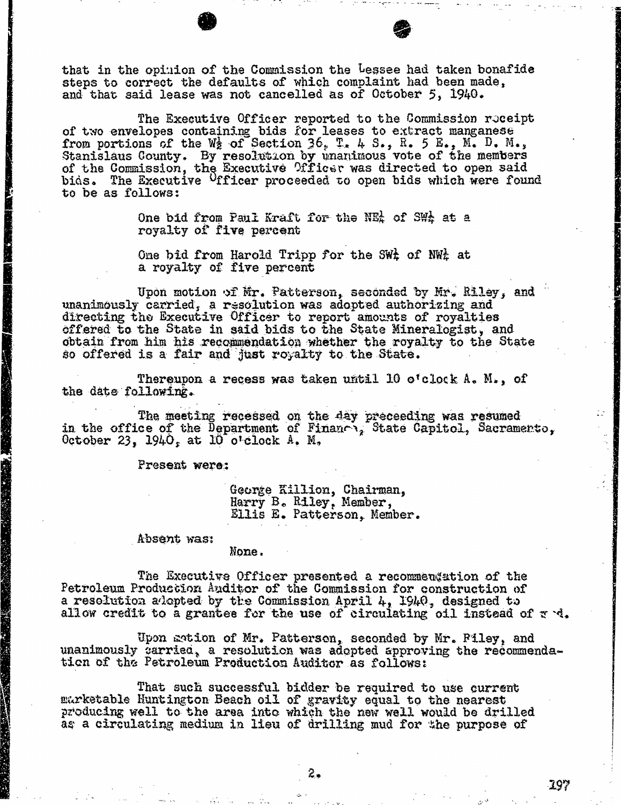that in the opinion of the Commission the Lessee had taken bonafide steps to correct the defaults of which complaint had been made, and that said lease was not cancelled as of October 5, 1940.

The Executive Officer reported to the Commission roceipt<br>of two envelopes containing bids for leases to extract manganese from portions of the We of Section 36, T. 4 S., R. 5 E., M. D. M., Stanislaus County. By resolution by unanimous vote of the members of the Commission, the Executive Officer was directed to open said bids. The Executive <sup>O</sup>fficer proceeded to open bids which were found to be as follows:

> One bid from Paul Kraft for the NEA of SWA at a royalty of five percent

> One bid from Harold Tripp for the SW<sub>4</sub> of NW<sub>4</sub> at a royalty of five percent

Upon motion of Mr. Patterson, seconded by Mr. Riley, and unanimously carried, a resolution was adopted authorizing and directing the Executive Officer to report amounts of royalties offered to the State in said bids to the State Mineralogist, and obtain from him his recommendation whether the royalty to the State so offered is a fair and just royalty to the State.

Thereupon a recess was taken until 10 o'clock  $A_*$   $M_*$ , of the date following.

The meeting recessed on the day preceeding was result in the office of the Department of Finance, State Capitol, Sacramento, Sacramento, Sacramento, Sacramento, Sacramento, Sacramento, Sacramento, Sacramento, Sacramento, S  $0$ ctober 23,  $1940<sub>s</sub>$  at 10 o'cloc.

Present were:

George Killion, Chairm Harry B. Riley, Memb Ellis E. Patterson, Member.

## Absent was:

## None .

The Executive Officer presented a recommendation of the Petroleum Production Auditor of the Commission for construction of a resolution adopted by the Commission April 4, 1940, designed to allow credit to a grantee for the use of circulating oil instead of  $x \cdot d$ .

Upon motion of Mr. Patterson, seconded by Mr. Piley, and unanimously carried, a resolution was adopted approving the recommendation of the Petroleum Production Auditor as follows:

That such successful bidder be required to use current marketable Huntington Beach oil of gravity equal to the nearest producing well to the area into which the new well would be drilled as a circulating medium in lieu of drilling mud for the purpose of

2.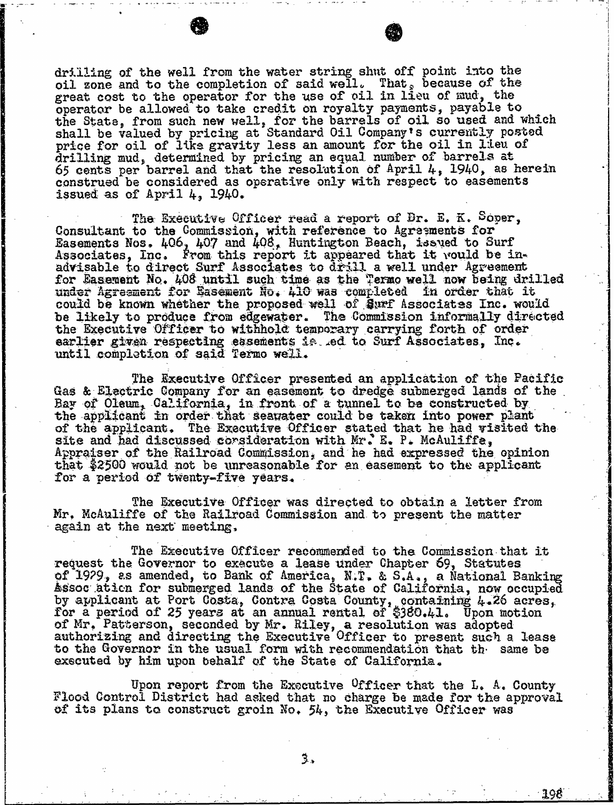drilling of the well from the water string shut off point into the oil zone and to the completion of said well. That, because of the great cost to the operator for the use of oil in lieu of  $\mathfrak{sud}_2$  the operator be allowed to take credit on royalty payments, payable to operatur be allowed to take credit on royalty payments, payments, payments, payments, payments, payments, paymen the State, from such new well, for the barrels of oil so used the solution of the solution of the solution shall be valued by pricing at Standard Oil Company's cur<br>notes for sil of like energing loss an emeunt for the sil price for oil of like gravity less an amount for the original in line of the original in the original in the o drilling mud, determined by pricing an equal number of barrels at  $\frac{1}{n}$ . 65 cents per barrel and that the resolution of April 4, 1940, as herein as herein and the resolution construed be considered as operative only with respect to easements issued as of April 4, 1940.

The Executive Officer read a report of Dr. E. K.<br>Consultant to the Commission, with reference to Agreements for the Commission, with reference to Agreements Easements Nos. 400, 407 and 408, Huntington Beach, 1880 Associates, Inc. From this report it appeared that it would be in-<br>advisable to direct Surf Associates to drill a well under Agreement advisable to direct Surf Associates to drill a well under for Sasement No. 408 until such time as the Termo well now be under Agreement for Basement No. 410 was completed in order that it could be known whether the proposed well of Surf Associates Inc. would<br>be likely to produce from edgewater. The Commission informally directed the Executive Officer to withhold temporary carrying forth of order. the executive Officer to withhold temporary carrying earlier given respecting easements is. ed to Surf Associates, Inc. until completion of said Termo well.

The Executive Officer presented an application of the Pacific Gas & Electric Company for an easement to dredge submerged lands of the Bay of Oleum, California, in front of a tunnel to be constructed by the applicant in order that seawater could be taken into power plant of the applicant. The Executive Officer stated that he had visited the site and had discussed consideration with Mr. E. P. McAuliffe, Appraiser of the Railroad Commission, and he had expressed the opinion that \$2500 would not be unreasonable for an easement to the applicant for a period of twenty-five years.

The Executive Officer was directed to obtain a letter from Mr. McAuliffe of the Railroad Commission and to present the matter again at the next meeting.

The Executive Officer recommended to the Commission that it request the Governor to execute a lease under Chapter 69, Statutes of 1979, as amended, to Bank of America, N.T. & S.A., a National Banking Assoc ation for submerged lands of the State of California, now of the State of California, now of the California by applicant at Port Costa, Contra Costa County, containing by applicant at the  $\frac{1}{2}$ for a period of 25 years at an annual rental of  $\frac{3380.41}{200}$ . of Mr. Patterson, seconded by Mr. Riley, a resolution authorizing and directing the Executive Officer to present such a lease to present such a lease to the lease o to the Governor in the usual form with recommendation that the same below the same below that the same below the same below the same below the same below the same below the same below the same below the same below that the executed by him upon behalf of the State of California.

Upon report from the Executive <sup>O</sup>fficer that the L. A. County<br>Flood Control District had asked that no charge be made for the approval of its plans to construct groin No. 54, the Executive Officer was

<u>-198</u>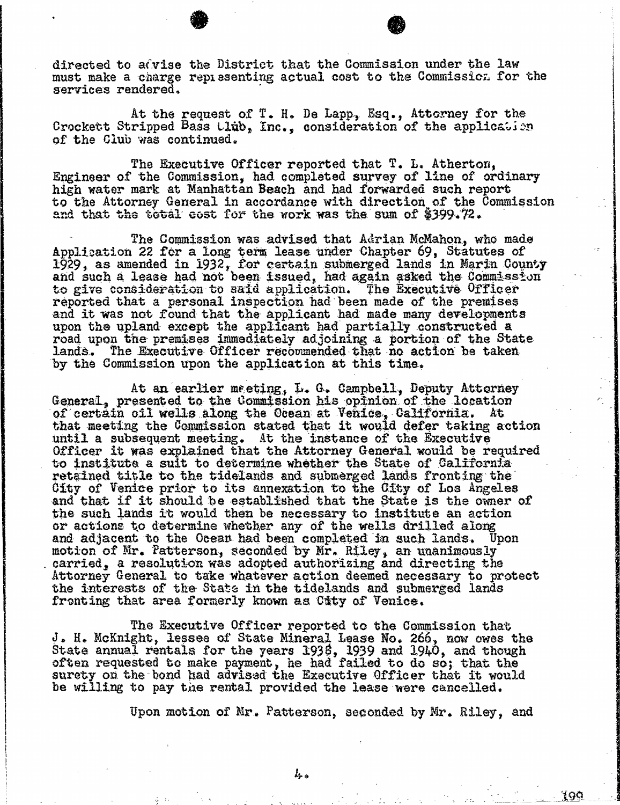directed to a $\hat{c}$ vise the District that the Commission under the law must make a charge representing actual cost to the Commission for the services rendered.

At the request of T. H. De Lapp, Esq., Attorney for the Crockett Stripped Bass Club, Inc., consideration of the application of the Club was continued.

The Executive Officer reported that T. L. Atherton, Engineer of the Commission, had completed survey of line of ordinary high water mark at Manhattan Beach and had forwarded such report to the Attorney General in accordance with direction of the Commission and that the total cost for the work was the sum of \$399.72.

The Commission was advised that Adrian McMahon, who made<br>Application 22 for a long term lease under Chapter 69, Statutes of  $1929$ , as amended in  $1932$ , for certain submerged lands in Marin  $1929$ and such a lease had not been issued, had again asked the Commission of the Commission of the Commission of Co to give consideration to said application. The Executive Officer reported that a personal inspection had been made of the premises and it was not found that the applicant had made many developments upon the upland except the applicant had partially constructed a road upon the premises immediately adjoining a portion of the State lands. The Executive Officer recommended that no action be taken The Executive Officer recommended that no action be taken by the Commission upon the application at this time.

At an earlier meeting, L. G. Campbell, Deputy Attorney General, presented to the Commission his opinion of the location of certain oil wells along the Ocean at Venice, California. At that meeting the Commission stated that it would defer taking action until a subsequent meeting. At the instance of the Executive until a subsequent meeting. At the instance of the Executive meeting. Officer it was explained that the Attorney General would be required to require  $\frac{1}{2}$ to institute a suit to determine whether the State of California retained title to the tidelands and submerged lands fronting the City of Venice prior to its annexation to the City of Los Angeles and that if it should be established that the State is the owner of the such lands it would then be necessary to institute an action or actions to determine whether any of the wells drilled along and adjacent to the Ocean had been completed in such lands. Unon motion of Mr. Patterson, seconded by Mr. Riley, an unanimously carried, a resolution was adopted authorizing and directing the Attorney General to take whatever action deemed necessary to protect the interests of the State in the tidelands and submerged lands fronting that area formerly known as City of Venice.

The Executive Officer reported to the Commission that J. H. McKnight, lessee of State Mineral Lease No. 266, now owe State annual rentals for the years  $1938$ ,  $1939$  and  $1940$ , and  $1940$ , and the state of the state of the state of the state of the state of the state of the state of the state of the state of the state of the state of often requested to make payment, he had failed to do so; that the surety on the bond had advised the Executive Officer that it would be willing to pay the rental provided the lease were cancelled.

Upon motion of Mr. Patterson, seconded by Mr. Riley, and

199

 $l_{\text{+}}$ .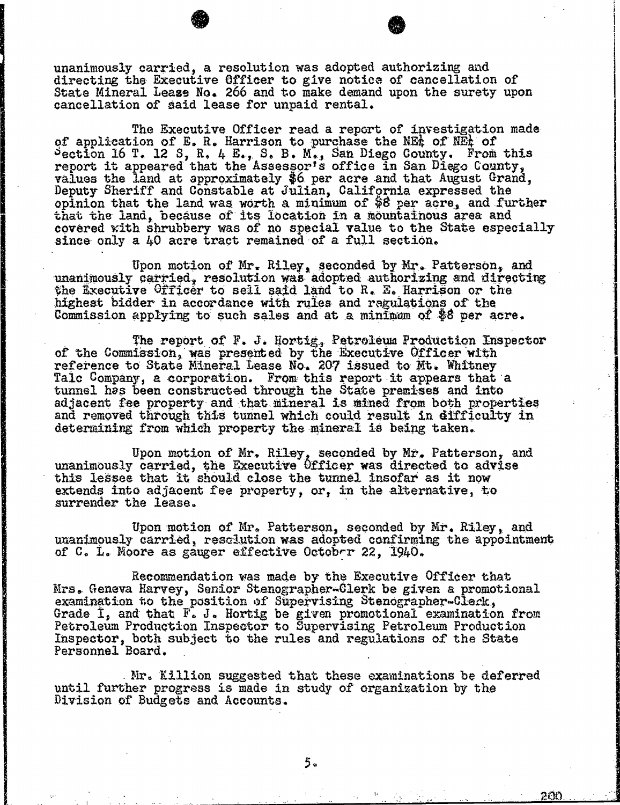unanimously carried, a resolution was adopted authorizing and directing the Executive Officer to give notice of cancellation of State Mineral Lease No. 266 and to make demand upon the surety upon cancellation of said lease for unpaid rental.

The Executive Officer read a report of investigation made of application of E. R. Harrison to purchase the NEt of NEt of  $\frac{1}{2}$  Pection 16 T. 12 S, R. 4 E., S. B. M., San Diego County. From the second this second the second the second the second the second the second the second three second the second three second three second three seco report it appeared that the Assessor's office in San Diego values the land at approximately \$6 per acre and that August Grand, Deputy Sheriff and Constable at Julian, California expressed the opinion that the land was worth a minimum of \$8 per acre that the land, because of its location in a mountain covered with shrubbery was of no special value to the State especially since only a 40 acre tract remained of a full section.

Upon motion of Mr. Riley, seconded by Mr. Patterson, and unanimously carried, resolution was adopted authorizing and directing the Executive Officer to sell said land to R. E. Harrison or the highest bidder in accordance with rules and regulations of the Commission applying to such sales and at a minimum of \$8 per acre.

The report of F. J. Hortig, Petroleum Production Inspector of the Commission, was presented by the Executive Officer with reference to State Mineral Lease No. 207 issued to Mt. Whitney Talc Company, a corporation. From this report it appears that a tunnel has been constructed through the State premises and into adjacent fee property and that mineral is mined from both properties and removed through this tunnel which could result in difficulty in determining from which property the mineral is being taken.

Upon motion of Mr. Riley, seconded by Mr. Patterson, and unanimously carried, the Executive Officer was directed to advise this lesses that it should close the tunnel insofar as it now extends into adjacent fee property, or, in the alternative, to surrender the lease.

Upon motion of Mr. Patterson, seconded by Mr. Riley, and unanimously carried, resolution was adopted confirming the appointment of C. L. Moore as gauger effective October 22, 1940.

Recommendation was made by the Executive Officer that Mrs. Geneva Harvey, Senior Stenographer-Clerk be given a promotional examination to the position of Supervising Stenographer-Clerk, Grade I, and that  $\mathbb{F}_{\bullet}$  J. Hortig be given promotional examination from<br>Petroleum Production Inspector to Supervising Petroleum Production Petroleum Production Inspector to Supervising Petroleum Production Inspector to Supervising Petroleum Pro Inspector, both subject to the rules and regulation Personnel Board.

Mr. Killion suggested that these examinations be deferred until further progress is made in study of organization by the Division of Budgets and Accounts.

<u>200</u>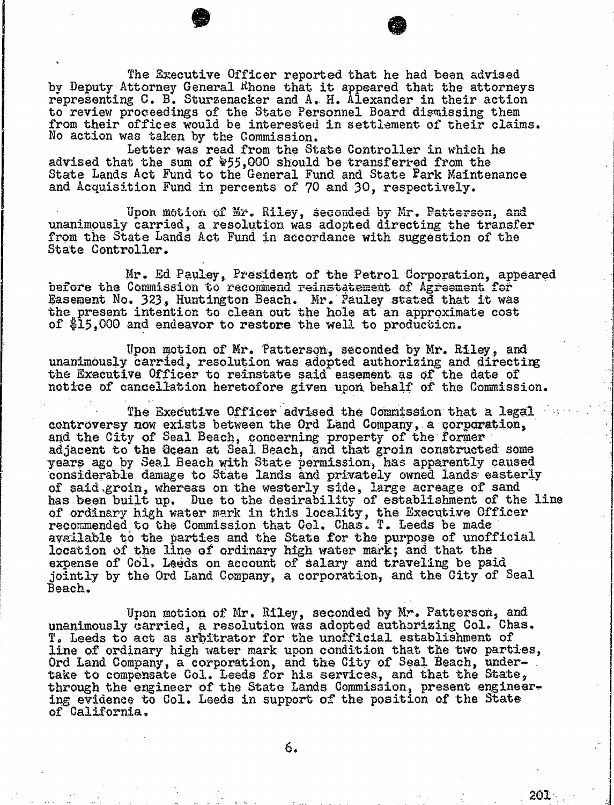The Executive Officer reported that he had been advised by Deputy Attorney General Rhone that it appeared that the attorneys representing C. B. Sturzenacker and A. H. Alexander in their action to review proceedings of the State Personnel Board dis from their offices would be interested in settlement of No action was taken by the Commission.

Letter was read from the State Controller in which he advised that the sum of  $\frac{1}{2}$ 55,000 should be transferred from the State Lands Act Fund to the General Fund and State Park Maintenance and Acquisition Fund in percents of 70 and 30, respectively.

Upon motion of Mr. Riley, seconded by Mr. Patterson, and unanimously carried, a resolution was adopted directing the transfer from the State Lands Act Fund in accordance with suggestion of the State Controller.

Mr. Ed Pauley, President of the Petrol Corporation, appeared before the Commission to recommend reinstatement of Agreement for Easement No. 323, Huntington Beach. Mr. Pauley stated that it was the present intention to clean out the hole at an approximate cost of \$15,000 and endeavor to restore the well to production.

Upon motion of Mr. Patterson, seconded by Mr. Riley, and unanimously carried, resolution was adopted authorizing and directing the Executive Officer to reinstate said easement as of notice of cancellation heretofore given upon behalf of the  $\ell$ 

The Executive Officer advised the Commission that a legal controversy now exists between the Ord Land Company, a corporation, and the City of Seal Beach, concerning property of the former adjacent to the Ocean at Seal Beach, and that groin constructed some years ago by Seal Beach with State permission, has apparently caused considerable damage to State lands and privately owned lands easterly of said groin, whereas on the westerly side, large acre has been built up. Due to the desirability of establishment of ordinary high water mark in this locality, the Executive Officers of the Officers of The Contract of Contract of Contract of Contract of Contract of Contract of Contract of Contract of Contract of Contract of Contract o recommended to the Commission that Col. Chas. T. Leeds available to the parties and the State for the purpose of unofficial location of the line of ordinary high water mark; and that the expense of Col. Leeds on account of salary and traveling be paid jointly by the Ord Land Company, a corporation, and the City of Seal Beach.

Upon motion of Mr. Riley, seconded by Mr. Patterson, and unanimously carried, a resolution was adopted authorizing Col. Chas. T. Leeds to act as arbitrator for the unofficial establishment of line of ordinary high water mark upon condition that the two parties, Ord Land Company, a corporation, and the City of Seal Beach, undertake to compensate Col. Leeds for his services, and that the State, through the engineer of the State Lands Commission, present engineering evidence to Col. Leeds in support of the position of the State of California.

201 .